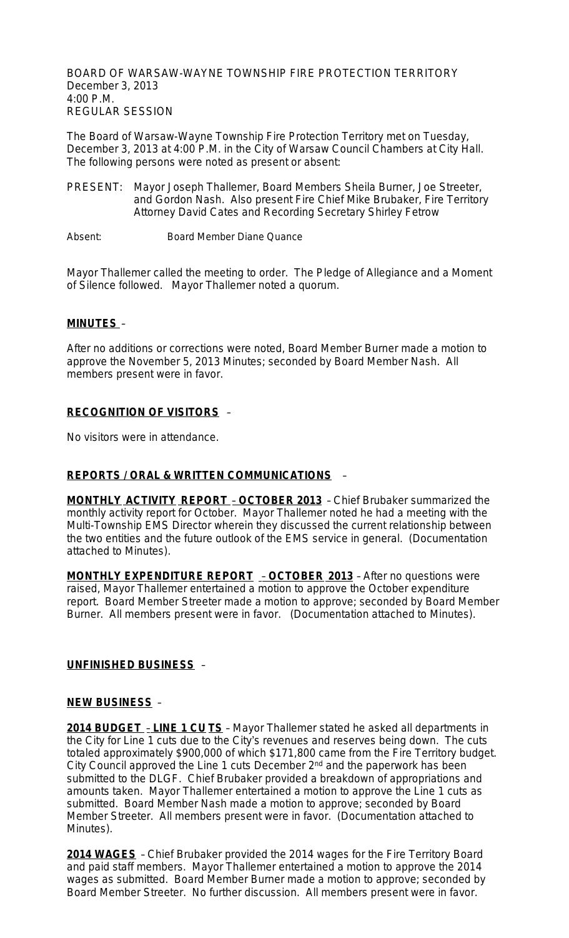BOARD OF WARSAW-WAYNE TOWNSHIP FIRE PROTECTION TERRITORY December 3, 2013 4:00 P.M. REGULAR SESSION

The Board of Warsaw-Wayne Township Fire Protection Territory met on Tuesday, December 3, 2013 at 4:00 P.M. in the City of Warsaw Council Chambers at City Hall. The following persons were noted as present or absent:

- PRESENT: Mayor Joseph Thallemer, Board Members Sheila Burner, Joe Streeter, and Gordon Nash. Also present Fire Chief Mike Brubaker, Fire Territory Attorney David Cates and Recording Secretary Shirley Fetrow
- Absent: Board Member Diane Quance

Mayor Thallemer called the meeting to order. The Pledge of Allegiance and a Moment of Silence followed. Mayor Thallemer noted a quorum.

### **MINUTES** –

After no additions or corrections were noted, Board Member Burner made a motion to approve the November 5, 2013 Minutes; seconded by Board Member Nash. All members present were in favor.

## **RECOGNITION OF VISITORS** –

No visitors were in attendance.

#### **REPORTS / ORAL & WRITTEN COMMUNICATIONS** –

**MONTHLY ACTIVITY REPORT** – **OCTOBER 2013** – Chief Brubaker summarized the monthly activity report for October. Mayor Thallemer noted he had a meeting with the Multi-Township EMS Director wherein they discussed the current relationship between the two entities and the future outlook of the EMS service in general. (Documentation attached to Minutes).

**MONTHLY EXPENDITURE REPORT** – **OCTOBER 2013** – After no questions were raised, Mayor Thallemer entertained a motion to approve the October expenditure report. Board Member Streeter made a motion to approve; seconded by Board Member Burner. All members present were in favor. (Documentation attached to Minutes).

#### **UNFINISHED BUSINESS** –

#### **NEW BUSINESS** –

**2014 BUDGET** – **LINE 1 CU TS** – Mayor Thallemer stated he asked all departments in the City for Line 1 cuts due to the City's revenues and reserves being down. The cuts totaled approximately \$900,000 of which \$171,800 came from the Fire Territory budget. City Council approved the Line 1 cuts December 2nd and the paperwork has been submitted to the DLGF. Chief Brubaker provided a breakdown of appropriations and amounts taken. Mayor Thallemer entertained a motion to approve the Line 1 cuts as submitted. Board Member Nash made a motion to approve; seconded by Board Member Streeter. All members present were in favor. (Documentation attached to Minutes).

**2014 WAGES** – Chief Brubaker provided the 2014 wages for the Fire Territory Board and paid staff members. Mayor Thallemer entertained a motion to approve the 2014 wages as submitted. Board Member Burner made a motion to approve; seconded by Board Member Streeter. No further discussion. All members present were in favor.